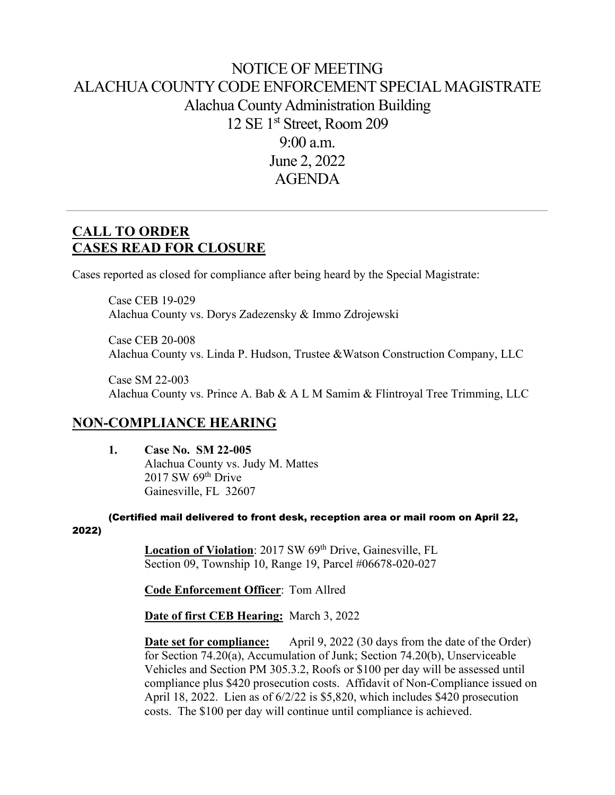# NOTICE OF MEETING ALACHUA COUNTY CODE ENFORCEMENT SPECIAL MAGISTRATE Alachua County Administration Building 12 SE 1st Street, Room 209 9:00 a.m. June 2, 2022 AGENDA

# **CALL TO ORDER CASES READ FOR CLOSURE**

Cases reported as closed for compliance after being heard by the Special Magistrate:

Case CEB 19-029 Alachua County vs. Dorys Zadezensky & Immo Zdrojewski

Case CEB 20-008 Alachua County vs. Linda P. Hudson, Trustee &Watson Construction Company, LLC

Case SM 22-003 Alachua County vs. Prince A. Bab & A L M Samim & Flintroyal Tree Trimming, LLC

### **NON-COMPLIANCE HEARING**

**1. Case No. SM 22-005** Alachua County vs. Judy M. Mattes  $2017$  SW  $69<sup>th</sup>$  Drive Gainesville, FL 32607

(Certified mail delivered to front desk, reception area or mail room on April 22, 2022)

> Location of Violation: 2017 SW 69<sup>th</sup> Drive, Gainesville, FL Section 09, Township 10, Range 19, Parcel #06678-020-027

**Code Enforcement Officer**: Tom Allred

**Date of first CEB Hearing:** March 3, 2022

**Date set for compliance:** April 9, 2022 (30 days from the date of the Order) for Section 74.20(a), Accumulation of Junk; Section 74.20(b), Unserviceable Vehicles and Section PM 305.3.2, Roofs or \$100 per day will be assessed until compliance plus \$420 prosecution costs. Affidavit of Non-Compliance issued on April 18, 2022. Lien as of 6/2/22 is \$5,820, which includes \$420 prosecution costs. The \$100 per day will continue until compliance is achieved.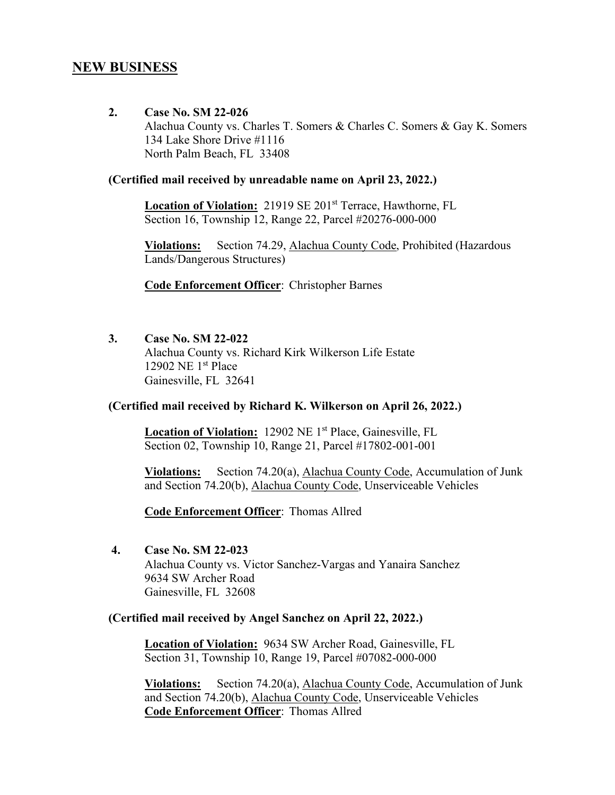### **NEW BUSINESS**

**2. Case No. SM 22-026**  Alachua County vs. Charles T. Somers & Charles C. Somers & Gay K. Somers 134 Lake Shore Drive #1116 North Palm Beach, FL 33408

#### **(Certified mail received by unreadable name on April 23, 2022.)**

 **Location of Violation:** 21919 SE 201st Terrace, Hawthorne, FL Section 16, Township 12, Range 22, Parcel #20276-000-000

**Violations:** Section 74.29, Alachua County Code, Prohibited (Hazardous Lands/Dangerous Structures)

**Code Enforcement Officer**: Christopher Barnes

**3. Case No. SM 22-022**  Alachua County vs. Richard Kirk Wilkerson Life Estate 12902 NE 1st Place Gainesville, FL 32641

#### **(Certified mail received by Richard K. Wilkerson on April 26, 2022.)**

Location of Violation: 12902 NE 1<sup>st</sup> Place, Gainesville, FL Section 02, Township 10, Range 21, Parcel #17802-001-001

**Violations:** Section 74.20(a), Alachua County Code, Accumulation of Junk and Section 74.20(b), Alachua County Code, Unserviceable Vehicles

**Code Enforcement Officer**: Thomas Allred

 **4. Case No. SM 22-023** 

Alachua County vs. Victor Sanchez-Vargas and Yanaira Sanchez 9634 SW Archer Road Gainesville, FL 32608

#### **(Certified mail received by Angel Sanchez on April 22, 2022.)**

 **Location of Violation:** 9634 SW Archer Road, Gainesville, FL Section 31, Township 10, Range 19, Parcel #07082-000-000

**Violations:** Section 74.20(a), Alachua County Code, Accumulation of Junk and Section 74.20(b), Alachua County Code, Unserviceable Vehicles **Code Enforcement Officer**: Thomas Allred